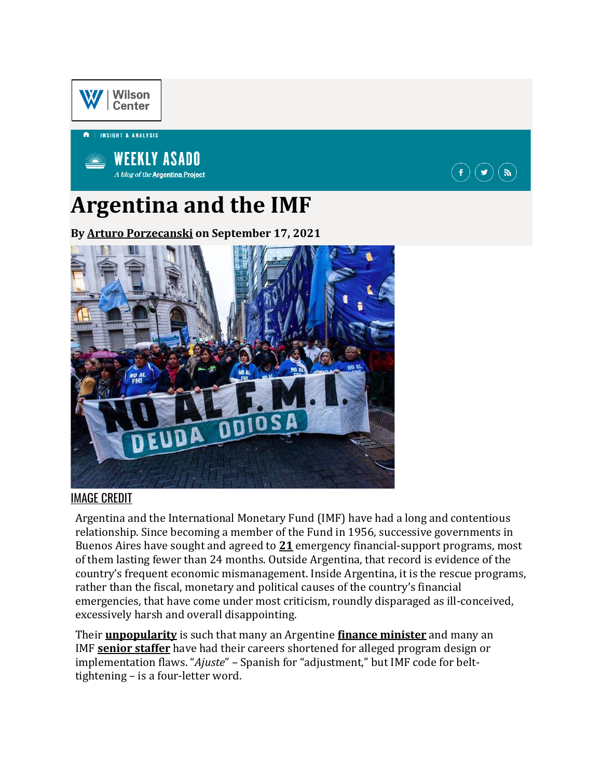

| INSIGHT & ANALYSIS



# **Argentina and the IMF**

**By [Arturo Porzecanski](https://www.wilsoncenter.org/person/arturo-c-porzecanski) on September 17, 2021**



#### [IMAGE CREDIT](https://www.wilsoncenter.org/blog-post/argentina-and-imf)

Argentina and the International Monetary Fund (IMF) have had a long and contentious relationship. Since becoming a member of the Fund in 1956, successive governments in Buenos Aires have sought and agreed to **[21](https://www.imf.org/external/np/fin/tad/extarr2.aspx?memberkey1=30&date1Key=2021-08-31&utm_medium=email&utm_campaign=lap&utm_source=newsletter&emci=dedbbe3c-0a17-ec11-981f-501ac57ba3ed&emdi=ea000000-0000-0000-0000-000000000001&ceid=)** emergency financial-support programs, most of them lasting fewer than 24 months. Outside Argentina, that record is evidence of the country's frequent economic mismanagement. Inside Argentina, it is the rescue programs, rather than the fiscal, monetary and political causes of the country's financial emergencies, that have come under most criticism, roundly disparaged as ill-conceived, excessively harsh and overall disappointing.

Their **[unpopularity](https://www.wsj.com/articles/odd-couple-argentina-and-the-imf-stick-together-for-richer-for-poorer-11577379961?utm_medium=email&utm_campaign=lap&utm_source=newsletter&emci=dedbbe3c-0a17-ec11-981f-501ac57ba3ed&emdi=ea000000-0000-0000-0000-000000000001&ceid=)** is such that many an Argentine **[finance minister](https://www.reuters.com/article/us-argentina-economics/argentina-treasury-minister-resigns-says-significant-renewal-needed-amid-economic-crisis-idUSKCN1V70ME?utm_medium=email&utm_campaign=lap&utm_source=newsletter&emci=dedbbe3c-0a17-ec11-981f-501ac57ba3ed&emdi=ea000000-0000-0000-0000-000000000001&ceid=)** and many an IMF **[senior staffer](https://www.upi.com/Archives/2002/06/11/Anoop-Singh-bitter-pill-for-Argentina/5130708300263/?utm_medium=email&utm_campaign=lap&utm_source=newsletter&emci=dedbbe3c-0a17-ec11-981f-501ac57ba3ed&emdi=ea000000-0000-0000-0000-000000000001&ceid=)** have had their careers shortened for alleged program design or implementation flaws. "*Ajuste*" – Spanish for "adjustment," but IMF code for belttightening – is a four-letter word.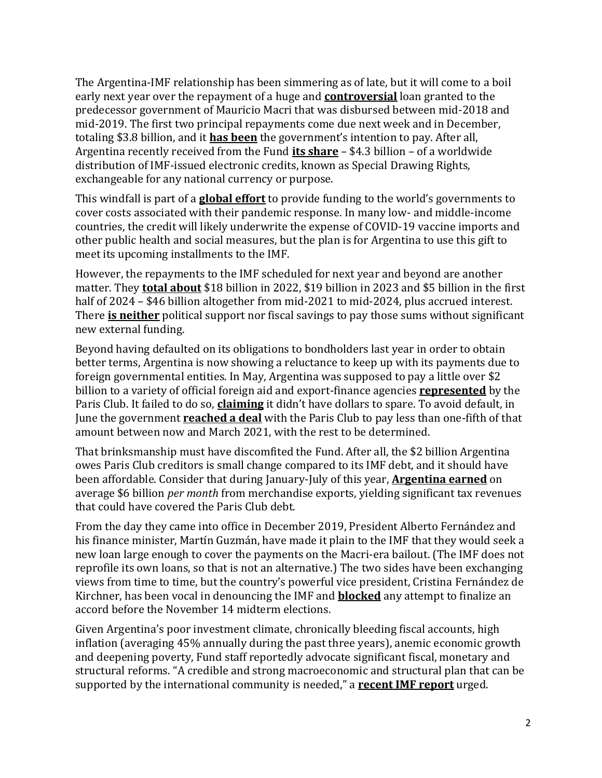The Argentina-IMF relationship has been simmering as of late, but it will come to a boil early next year over the repayment of a huge and **[controversial](https://www.ft.com/content/b90e9fdd-d8ae-421f-9a40-380305ed811a?utm_medium=email&utm_campaign=lap&utm_source=newsletter&emci=dedbbe3c-0a17-ec11-981f-501ac57ba3ed&emdi=ea000000-0000-0000-0000-000000000001&ceid=)** loan granted to the predecessor government of Mauricio Macri that was disbursed between mid-2018 and mid-2019. The first two principal repayments come due next week and in December, totaling \$3.8 billion, and it **[has been](https://www.a24.com/politica/en-casa-rosada-sostienen-el-mensaje-cristina-el-fmi-se-paga-y-no-habra-default-2021-n849782?utm_medium=email&utm_campaign=lap&utm_source=newsletter&emci=dedbbe3c-0a17-ec11-981f-501ac57ba3ed&emdi=ea000000-0000-0000-0000-000000000001&ceid=)** the government's intention to pay. After all, Argentina recently received from the Fund **[its share](https://www.argentina.gob.ar/noticias/argentina-recibio-usd-4334-millones-en-deg-del-fmi?utm_medium=email&utm_campaign=lap&utm_source=newsletter&emci=dedbbe3c-0a17-ec11-981f-501ac57ba3ed&emdi=ea000000-0000-0000-0000-000000000001&ceid=)** – \$4.3 billion – of a worldwide distribution of IMF-issued electronic credits, known as Special Drawing Rights, exchangeable for any national currency or purpose.

This windfall is part of a **[global effort](https://www.imf.org/en/News/Articles/2021/08/23/pr21248-imf-managing-director-announces-the-us-650-billion-sdr-allocation-comes-into-effect?utm_medium=email&utm_campaign=lap&utm_source=newsletter&emci=dedbbe3c-0a17-ec11-981f-501ac57ba3ed&emdi=ea000000-0000-0000-0000-000000000001&ceid=)** to provide funding to the world's governments to cover costs associated with their pandemic response. In many low- and middle-income countries, the credit will likely underwrite the expense of COVID-19 vaccine imports and other public health and social measures, but the plan is for Argentina to use this gift to meet its upcoming installments to the IMF.

However, the repayments to the IMF scheduled for next year and beyond are another matter. They **[total about](https://www.argentina.gob.ar/sites/default/files/deuda_publica_31-03-2021.xlsx?utm_medium=email&utm_campaign=lap&utm_source=newsletter&emci=dedbbe3c-0a17-ec11-981f-501ac57ba3ed&emdi=ea000000-0000-0000-0000-000000000001&ceid=)** \$18 billion in 2022, \$19 billion in 2023 and \$5 billion in the first half of 2024 – \$46 billion altogether from mid-2021 to mid-2024, plus accrued interest. There **[is neither](https://www.dw.com/en/why-argentina-needs-more-help-with-its-huge-debt/a-57506421?utm_medium=email&utm_campaign=lap&utm_source=newsletter&emci=dedbbe3c-0a17-ec11-981f-501ac57ba3ed&emdi=ea000000-0000-0000-0000-000000000001&ceid=)** political support nor fiscal savings to pay those sums without significant new external funding.

Beyond having defaulted on its obligations to bondholders last year in order to obtain better terms, Argentina is now showing a reluctance to keep up with its payments due to foreign governmental entities. In May, Argentina was supposed to pay a little over \$2 billion to a variety of official foreign aid and export-finance agencies **[represented](https://clubdeparis.org/?utm_medium=email&utm_campaign=lap&utm_source=newsletter&emci=dedbbe3c-0a17-ec11-981f-501ac57ba3ed&emdi=ea000000-0000-0000-0000-000000000001&ceid=)** by the Paris Club. It failed to do so, **[claiming](https://www.batimes.com.ar/news/economy/guzman-confirms-argentina-has-reached-deal-with-paris-club.phtml?utm_medium=email&utm_campaign=lap&utm_source=newsletter&emci=dedbbe3c-0a17-ec11-981f-501ac57ba3ed&emdi=ea000000-0000-0000-0000-000000000001&ceid=)** it didn't have dollars to spare. To avoid default, in June the government **[reached a deal](https://www.reuters.com/world/americas/paris-club-creditor-group-says-argentina-able-avoid-july-default-2021-06-23/?utm_medium=email&utm_campaign=lap&utm_source=newsletter&emci=dedbbe3c-0a17-ec11-981f-501ac57ba3ed&emdi=ea000000-0000-0000-0000-000000000001&ceid=)** with the Paris Club to pay less than one-fifth of that amount between now and March 2021, with the rest to be determined.

That brinksmanship must have discomfited the Fund. After all, the \$2 billion Argentina owes Paris Club creditors is small change compared to its IMF debt, and it should have been affordable. Consider that during January-July of this year, **[Argentina earned](https://www.indec.gob.ar/uploads/informesdeprensa/ica_08_215AF7148CA8.pdf?utm_medium=email&utm_campaign=lap&utm_source=newsletter&emci=dedbbe3c-0a17-ec11-981f-501ac57ba3ed&emdi=ea000000-0000-0000-0000-000000000001&ceid=)** on average \$6 billion *per month* from merchandise exports, yielding significant tax revenues that could have covered the Paris Club debt.

From the day they came into office in December 2019, President Alberto Fernández and his finance minister, Martín Guzmán, have made it plain to the IMF that they would seek a new loan large enough to cover the payments on the Macri-era bailout. (The IMF does not reprofile its own loans, so that is not an alternative.) The two sides have been exchanging views from time to time, but the country's powerful vice president, Cristina Fernández de Kirchner, has been vocal in denouncing the IMF and **[blocked](https://www.ft.com/content/78b08f12-7b78-4ecd-8e64-a717f8a43e09?utm_medium=email&utm_campaign=lap&utm_source=newsletter&emci=dedbbe3c-0a17-ec11-981f-501ac57ba3ed&emdi=ea000000-0000-0000-0000-000000000001&ceid=)** any attempt to finalize an accord before the November 14 midterm elections.

Given Argentina's poor investment climate, chronically bleeding fiscal accounts, high inflation (averaging 45% annually during the past three years), anemic economic growth and deepening poverty, Fund staff reportedly advocate significant fiscal, monetary and structural reforms. "A credible and strong macroeconomic and structural plan that can be supported by the international community is needed," a **[recent IMF](https://www.imf.org/-/media/Files/Publications/ESR/2021/English/text.ashx?utm_medium=email&utm_campaign=lap&utm_source=newsletter&emci=dedbbe3c-0a17-ec11-981f-501ac57ba3ed&emdi=ea000000-0000-0000-0000-000000000001&ceid=) report** urged.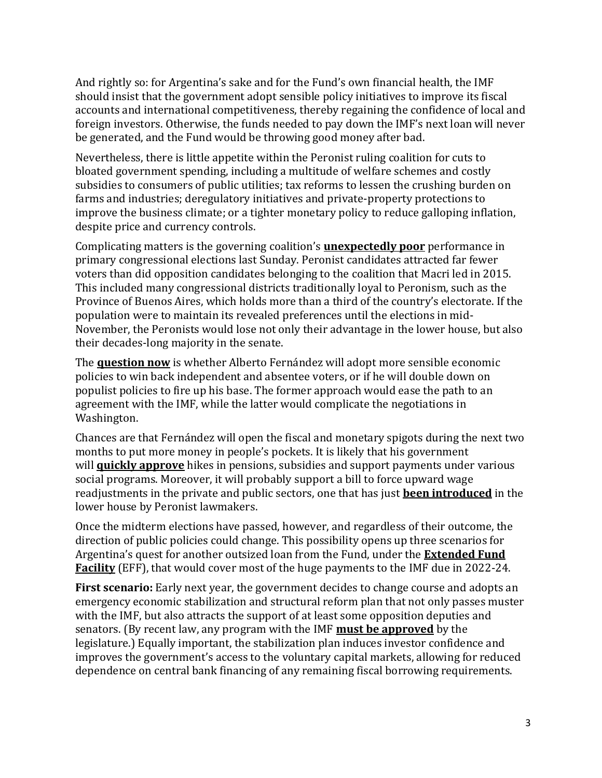And rightly so: for Argentina's sake and for the Fund's own financial health, the IMF should insist that the government adopt sensible policy initiatives to improve its fiscal accounts and international competitiveness, thereby regaining the confidence of local and foreign investors. Otherwise, the funds needed to pay down the IMF's next loan will never be generated, and the Fund would be throwing good money after bad.

Nevertheless, there is little appetite within the Peronist ruling coalition for cuts to bloated government spending, including a multitude of welfare schemes and costly subsidies to consumers of public utilities; tax reforms to lessen the crushing burden on farms and industries; deregulatory initiatives and private-property protections to improve the business climate; or a tighter monetary policy to reduce galloping inflation, despite price and currency controls.

Complicating matters is the governing coalition's **[unexpectedly poor](https://www.bloomberg.com/news/articles/2021-09-13/argentina-s-ruling-coalition-dealt-big-blow-in-primary-election?utm_medium=email&utm_campaign=lap&utm_source=newsletter&emci=dedbbe3c-0a17-ec11-981f-501ac57ba3ed&emdi=ea000000-0000-0000-0000-000000000001&ceid=)** performance in primary congressional elections last Sunday. Peronist candidates attracted far fewer voters than did opposition candidates belonging to the coalition that Macri led in 2015. This included many congressional districts traditionally loyal to Peronism, such as the Province of Buenos Aires, which holds more than a third of the country's electorate. If the population were to maintain its revealed preferences until the elections in mid-November, the Peronists would lose not only their advantage in the lower house, but also their decades-long majority in the senate.

The **[question now](https://www.reuters.com/world/americas/argentina-primary-defeat-puts-peronists-tough-spot-policy-2021-09-13/?utm_medium=email&utm_campaign=lap&utm_source=newsletter&emci=dedbbe3c-0a17-ec11-981f-501ac57ba3ed&emdi=ea000000-0000-0000-0000-000000000001&ceid=)** is whether Alberto Fernández will adopt more sensible economic policies to win back independent and absentee voters, or if he will double down on populist policies to fire up his base. The former approach would ease the path to an agreement with the IMF, while the latter would complicate the negotiations in Washington.

Chances are that Fernández will open the fiscal and monetary spigots during the next two months to put more money in people's pockets. It is likely that his government will **[quickly approve](https://www.ambito.com/economia/presupuesto/shock-anuncios-jubilaciones-salario-minimo-programa-sociales-y-evaluan-un-ife-segmentado-n5279065?utm_medium=email&utm_campaign=lap&utm_source=newsletter&emci=dedbbe3c-0a17-ec11-981f-501ac57ba3ed&emdi=ea000000-0000-0000-0000-000000000001&ceid=)** hikes in pensions, subsidies and support payments under various social programs. Moreover, it will probably support a bill to force upward wage readjustments in the private and public sectors, one that has just **[been introduced](https://www.ambito.com/politica/salarios/el-frente-todos-presento-un-proyecto-subir-los-decreto-n5279140?utm_medium=email&utm_campaign=lap&utm_source=newsletter&emci=dedbbe3c-0a17-ec11-981f-501ac57ba3ed&emdi=ea000000-0000-0000-0000-000000000001&ceid=)** in the lower house by Peronist lawmakers.

Once the midterm elections have passed, however, and regardless of their outcome, the direction of public policies could change. This possibility opens up three scenarios for Argentina's quest for another outsized loan from the Fund, under the **[Extended Fund](https://www.imf.org/en/About/Factsheets/Sheets/2016/08/01/20/56/Extended-Fund-Facility?utm_medium=email&utm_campaign=lap&utm_source=newsletter&emci=dedbbe3c-0a17-ec11-981f-501ac57ba3ed&emdi=ea000000-0000-0000-0000-000000000001&ceid=)  [Facility](https://www.imf.org/en/About/Factsheets/Sheets/2016/08/01/20/56/Extended-Fund-Facility?utm_medium=email&utm_campaign=lap&utm_source=newsletter&emci=dedbbe3c-0a17-ec11-981f-501ac57ba3ed&emdi=ea000000-0000-0000-0000-000000000001&ceid=)** (EFF), that would cover most of the huge payments to the IMF due in 2022-24.

**First scenario:** Early next year, the government decides to change course and adopts an emergency economic stabilization and structural reform plan that not only passes muster with the IMF, but also attracts the support of at least some opposition deputies and senators. (By recent law, any program with the IMF **[must be approved](https://www.lanacion.com.ar/politica/diputados-sanciono-ley-limita-toma-deuda-fmi-nid2599407/?utm_medium=email&utm_campaign=lap&utm_source=newsletter&emci=dedbbe3c-0a17-ec11-981f-501ac57ba3ed&emdi=ea000000-0000-0000-0000-000000000001&ceid=)** by the legislature.) Equally important, the stabilization plan induces investor confidence and improves the government's access to the voluntary capital markets, allowing for reduced dependence on central bank financing of any remaining fiscal borrowing requirements.